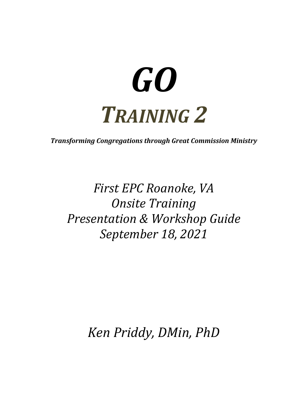# *GO TRAINING 2*

*Transforming Congregations through Great Commission Ministry* 

*First EPC Roanoke, VA Onsite Training Presentation & Workshop Guide September 18, 2021* 

*Ken Priddy, DMin, PhD*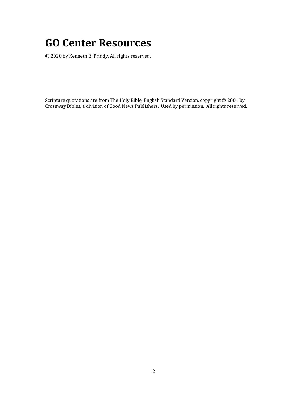## **GO Center Resources**

© 2020 by Kenneth E. Priddy. All rights reserved.

Scripture quotations are from The Holy Bible, English Standard Version, copyright © 2001 by Crossway Bibles, a division of Good News Publishers. Used by permission. All rights reserved.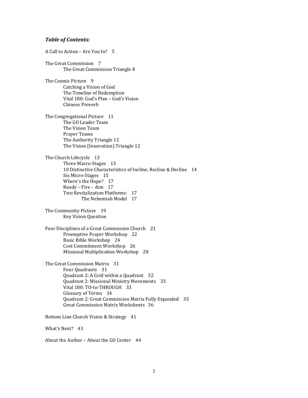#### *Table of Contents:*

A Call to Action – Are You In? 5 The Great Commission 7 The Great Commission Triangle 8 The Cosmic Picture 9 Catching a Vision of God The Timeline of Redemption Vital 180: God's Plan – God's Vision Chinese Proverb The Congregational Picture 11 The GO Leader Team The Vision Team Prayer Teams The Authority Triangle 12 The Vision (Innovation) Triangle 12 The Church Lifecycle 13 Three Macro-Stages 13 10 Distinctive Characteristics of Incline, Recline & Decline 14 Six Micro-Stages 15 Where's the Hope? 17 Ready – Fire – Aim 17 Two Revitalization Platforms: 17 The Nehemiah Model 17 The Community Picture 19 Key Vision Question Four Disciplines of a Great Commission Church 21 Preemptive Prayer Workshop 22 Basic Bible Workshop 24 Cost Commitment Workshop 26 Missional Multiplication Workshop 28 The Great Commission Matrix 31 Four Quadrants 31 Quadrant 2: A Grid within a Quadrant 32 Quadrant 2: Missional Ministry Movements 33 Vital 180: TO-to-THROUGH 33 Glossary of Terms 34 Quadrant 2: Great Commission Matrix Fully Expanded 35 Great Commission Matrix Worksheets 36 Bottom Line Church Vision & Strategy 41 What's Next? 43

About the Author – About the GO Center 44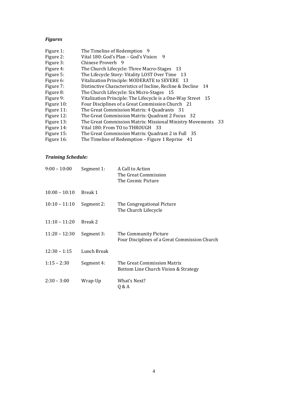#### *Figures*

| Figure 1:  | The Timeline of Redemption 9                                 |
|------------|--------------------------------------------------------------|
| Figure 2:  | Vital 180: God's Plan - God's Vision 9                       |
| Figure 3:  | Chinese Proverb 9                                            |
| Figure 4:  | The Church Lifecycle: Three Macro-Stages 13                  |
| Figure 5:  | The Lifecycle Story: Vitality LOST Over Time 13              |
| Figure 6:  | Vitalization Principle: MODERATE to SEVERE 13                |
| Figure 7:  | Distinctive Characteristics of Incline, Recline & Decline 14 |
| Figure 8:  | The Church Lifecycle: Six Micro-Stages 15                    |
| Figure 9:  | Vitalization Principle: The Lifecycle is a One-Way Street 15 |
| Figure 10: | Four Disciplines of a Great Commission Church 21             |
| Figure 11: | The Great Commission Matrix: 4 Quadrants 31                  |
| Figure 12: | The Great Commission Matrix: Quadrant 2 Focus 32             |
| Figure 13: | The Great Commission Matrix: Missional Ministry Movements 33 |
| Figure 14: | Vital 180: From TO to THROUGH 33                             |
| Figure 15: | The Great Commission Matrix: Quadrant 2 in Full 35           |
| Figure 16: | The Timeline of Redemption - Figure 1 Reprise 41             |
|            |                                                              |

#### *Training Schedule:*

| $9:00 - 10:00$  | Segment 1:  | A Call to Action<br>The Great Commission<br>The Cosmic Picture         |
|-----------------|-------------|------------------------------------------------------------------------|
| $10:00 - 10:10$ | Break 1     |                                                                        |
| $10:10 - 11:10$ | Segment 2:  | The Congregational Picture<br>The Church Lifecycle                     |
| $11:10 - 11:20$ | Break 2     |                                                                        |
| $11:20 - 12:30$ | Segment 3:  | The Community Picture<br>Four Disciplines of a Great Commission Church |
| $12:30 - 1:15$  | Lunch Break |                                                                        |
| $1:15 - 2:30$   | Segment 4:  | The Great Commission Matrix<br>Bottom Line Church Vision & Strategy    |
| $2:30 - 3:00$   | Wrap-Up     | What's Next?<br>Q & A                                                  |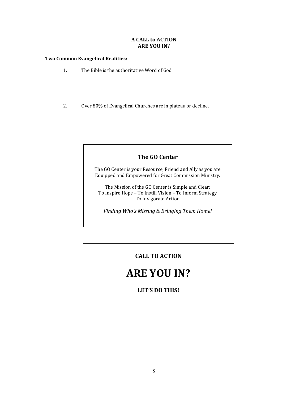#### **A CALL to ACTION ARE YOU IN?**

#### **Two Common Evangelical Realities:**

- 1. The Bible is the authoritative Word of God
- 2. Over 80% of Evangelical Churches are in plateau or decline.

#### **The GO Center**

The GO Center is your Resource, Friend and Ally as you are Equipped and Empowered for Great Commission Ministry.

The Mission of the GO Center is Simple and Clear: To Inspire Hope – To Instill Vision – To Inform Strategy To Invigorate Action

*Finding Who's Missing & Bringing Them Home!* 

### **CALL TO ACTION**

## **ARE YOU IN?**

**LET'S DO THIS!**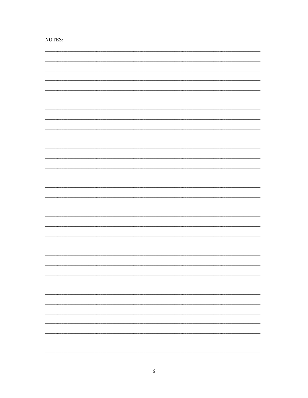| NOTES: |  |
|--------|--|
|        |  |
|        |  |
|        |  |
|        |  |
|        |  |
|        |  |
|        |  |
|        |  |
|        |  |
|        |  |
|        |  |
|        |  |
|        |  |
|        |  |
|        |  |
|        |  |
|        |  |
|        |  |
|        |  |
|        |  |
|        |  |
|        |  |
|        |  |
|        |  |
|        |  |
|        |  |
|        |  |
|        |  |
|        |  |
|        |  |
|        |  |
|        |  |
|        |  |
|        |  |
|        |  |
|        |  |
|        |  |
|        |  |
|        |  |
|        |  |
|        |  |
|        |  |
|        |  |
|        |  |
|        |  |
|        |  |
|        |  |
|        |  |
|        |  |
|        |  |
|        |  |
|        |  |
|        |  |
|        |  |
|        |  |
|        |  |
|        |  |
|        |  |
|        |  |
|        |  |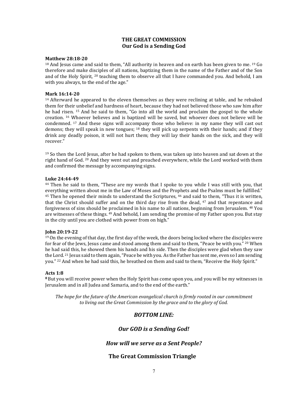#### **THE GREAT COMMISSION Our God is a Sending God**

#### **Matthew 28:18-20**

 $18$  And Jesus came and said to them, "All authority in heaven and on earth has been given to me.  $19$  Go therefore and make disciples of all nations, baptizing them in the name of the Father and of the Son and of the Holy Spirit,  $^{20}$  teaching them to observe all that I have commanded you. And behold, I am with you always, to the end of the age."

#### **Mark 16:14-20**

 $14$  Afterward he appeared to the eleven themselves as they were reclining at table, and he rebuked them for their unbelief and hardness of heart, because they had not believed those who saw him after he had risen. 15 And he said to them, "Go into all the world and proclaim the gospel to the whole creation. 16 Whoever believes and is baptized will be saved, but whoever does not believe will be condemned. 17 And these signs will accompany those who believe: in my name they will cast out demons; they will speak in new tongues;  $18$  they will pick up serpents with their hands; and if they drink any deadly poison, it will not hurt them; they will lay their hands on the sick, and they will recover."

 $19$  So then the Lord Jesus, after he had spoken to them, was taken up into heaven and sat down at the right hand of God.<sup>20</sup> And they went out and preached everywhere, while the Lord worked with them and confirmed the message by accompanying signs.

#### **Luke 24:44-49**

 $44$  Then he said to them, "These are my words that I spoke to you while I was still with you, that everything written about me in the Law of Moses and the Prophets and the Psalms must be fulfilled."  $45$  Then he opened their minds to understand the Scriptures,  $46$  and said to them, "Thus it is written, that the Christ should suffer and on the third day rise from the dead, <sup>47</sup> and that repentance and forgiveness of sins should be proclaimed in his name to all nations, beginning from Jerusalem. <sup>48</sup> You are witnesses of these things. 49 And behold, I am sending the promise of my Father upon you. But stay in the city until you are clothed with power from on high."

#### **John 20:19-22**

 $19$  On the evening of that day, the first day of the week, the doors being locked where the disciples were for fear of the Jews, Jesus came and stood among them and said to them, "Peace be with you." <sup>20</sup> When he had said this, he showed them his hands and his side. Then the disciples were glad when they saw the Lord. <sup>21</sup> Jesus said to them again, "Peace be with you. As the Father has sent me, even so I am sending you." 22 And when he had said this, he breathed on them and said to them, "Receive the Holy Spirit."

#### **Acts 1:8**

**<sup>8</sup>**But you will receive power when the Holy Spirit has come upon you, and you will be my witnesses in Jerusalem and in all Judea and Samaria, and to the end of the earth."

*The hope for the future of the American evangelical church is firmly rooted in our commitment to living out the Great Commission by the grace and to the glory of God.* 

#### *BOTTOM LINE:*

#### *Our GOD is a Sending God!*

#### *How will we serve as a Sent People?*

#### **The Great Commission Triangle**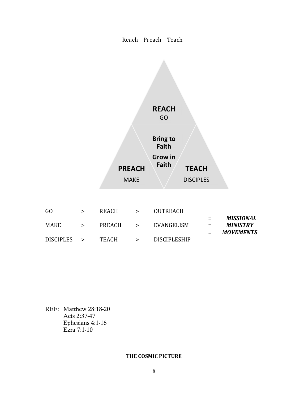#### Reach – Preach – Teach



|               | <b>REACH</b> | >      | <b>OUTREACH</b>     |     |                  |
|---------------|--------------|--------|---------------------|-----|------------------|
|               |              |        |                     | $=$ | MISSIONAL        |
| $\geq$        | PREACH       | $\geq$ | EVANGELISM          | $=$ | MINISTRY         |
|               |              |        |                     |     | <b>MOVEMENTS</b> |
| $\rightarrow$ | TEACH        | ⋗      | <b>DISCIPLESHIP</b> |     |                  |
|               |              |        |                     |     |                  |

REF: Matthew 28:18-20 Acts 2:37-47 Ephesians 4:1-16 Ezra 7:1-10

#### **THE COSMIC PICTURE**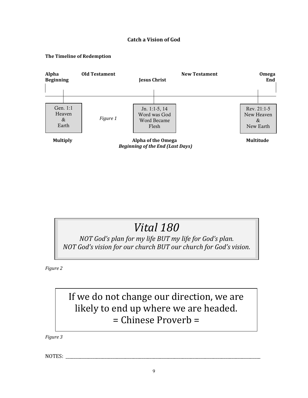#### **Catch a Vision of God**

#### **The Timeline of Redemption**



## *Vital 180*

*NOT God's plan for my life BUT my life for God's plan. NOT God's vision for our church BUT our church for God's vision.* 

*Figure 2*

## If we do not change our direction, we are likely to end up where we are headed. = Chinese Proverb =

*Figure 3* 

NOTES: \_\_\_\_\_\_\_\_\_\_\_\_\_\_\_\_\_\_\_\_\_\_\_\_\_\_\_\_\_\_\_\_\_\_\_\_\_\_\_\_\_\_\_\_\_\_\_\_\_\_\_\_\_\_\_\_\_\_\_\_\_\_\_\_\_\_\_\_\_\_\_\_\_\_\_\_\_\_\_\_\_\_\_\_\_\_\_\_\_\_\_\_\_\_\_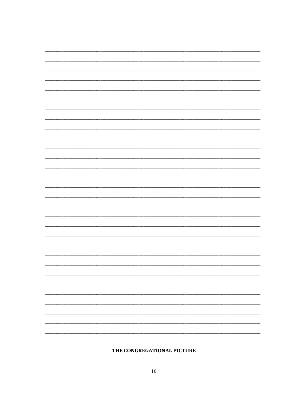$\overline{\phantom{a}}$ 

 $\overline{\phantom{0}}$ 

 $\overline{\phantom{0}}$ 

 $\overline{a}$ 

 $\overline{\phantom{0}}$ 

 $\overline{a}$ 

 $\overline{\phantom{0}}$ 

 $\overline{\phantom{0}}$ 

-

 $\overline{\phantom{0}}$ 

 $\overline{\phantom{0}}$  $\sim$ 

 $\overline{\phantom{0}}$ 

#### THE CONGREGATIONAL PICTURE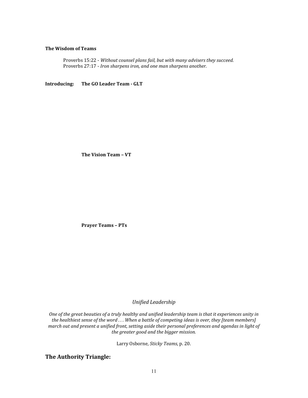#### **The Wisdom of Teams**

 Proverbs 15:22 - *Without counsel plans fail, but with many advisers they succeed.*  Proverbs 27:17 - *Iron sharpens iron, and one man sharpens another.* 

**Introducing: The GO Leader Team - GLT** 

 **The Vision Team – VT** 

 **Prayer Teams – PTs** 

*Unified Leadership* 

*One of the great beauties of a truly healthy and unified leadership team is that it experiences unity in the healthiest sense of the word . . . When a battle of competing ideas is over, they [team members] march out and present a unified front, setting aside their personal preferences and agendas in light of the greater good and the bigger mission.* 

Larry Osborne, *Sticky Teams*, p. 20.

**The Authority Triangle:**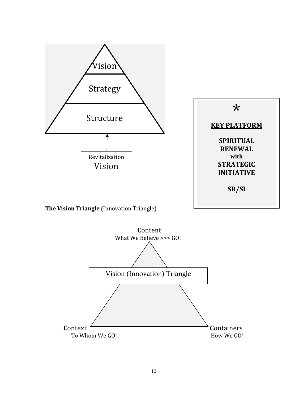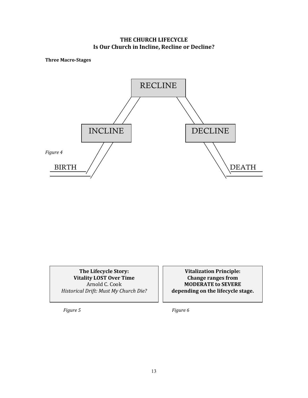#### **THE CHURCH LIFECYCLE Is Our Church in Incline, Recline or Decline?**

**Three Macro-Stages** 



**The Lifecycle Story: Vitality LOST Over Time**  Arnold C. Cook *Historical Drift: Must My Church Die?* 

**Vitalization Principle: Change ranges from MODERATE to SEVERE depending on the lifecycle stage.** 

 *Figure 5 Figure 6*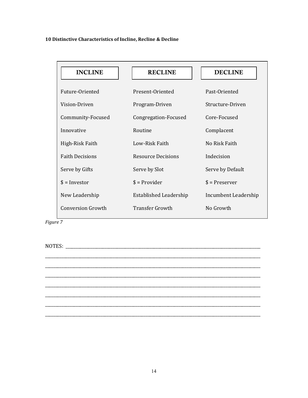#### **10 Distinctive Characteristics of Incline, Recline & Decline**

| <b>INCLINE</b>           | <b>RECLINE</b>            | <b>DECLINE</b>       |
|--------------------------|---------------------------|----------------------|
| Future-Oriented          | Present-Oriented          | Past-Oriented        |
| Vision-Driven            | Program-Driven            | Structure-Driven     |
| Community-Focused        | Congregation-Focused      | Core-Focused         |
| Innovative               | Routine                   | Complacent           |
| High-Risk Faith          | Low-Risk Faith            | No Risk Faith        |
| <b>Faith Decisions</b>   | <b>Resource Decisions</b> | Indecision           |
| Serve by Gifts           | Serve by Slot             | Serve by Default     |
| $$ = Invector$           | $$ =$ Provider            | $$ =$ Preserver      |
| New Leadership           | Established Leadership    | Incumbent Leadership |
| <b>Conversion Growth</b> | <b>Transfer Growth</b>    | No Growth            |

*Figure 7*

NOTES: \_\_\_\_\_\_\_\_\_\_\_\_\_\_\_\_\_\_\_\_\_\_\_\_\_\_\_\_\_\_\_\_\_\_\_\_\_\_\_\_\_\_\_\_\_\_\_\_\_\_\_\_\_\_\_\_\_\_\_\_\_\_\_\_\_\_\_\_\_\_\_\_\_\_\_\_\_\_\_\_\_\_\_\_\_\_\_\_\_\_\_\_\_\_\_

\_\_\_\_\_\_\_\_\_\_\_\_\_\_\_\_\_\_\_\_\_\_\_\_\_\_\_\_\_\_\_\_\_\_\_\_\_\_\_\_\_\_\_\_\_\_\_\_\_\_\_\_\_\_\_\_\_\_\_\_\_\_\_\_\_\_\_\_\_\_\_\_\_\_\_\_\_\_\_\_\_\_\_\_\_\_\_\_\_\_\_\_\_\_\_\_\_\_\_\_\_\_\_\_\_ \_\_\_\_\_\_\_\_\_\_\_\_\_\_\_\_\_\_\_\_\_\_\_\_\_\_\_\_\_\_\_\_\_\_\_\_\_\_\_\_\_\_\_\_\_\_\_\_\_\_\_\_\_\_\_\_\_\_\_\_\_\_\_\_\_\_\_\_\_\_\_\_\_\_\_\_\_\_\_\_\_\_\_\_\_\_\_\_\_\_\_\_\_\_\_\_\_\_\_\_\_\_\_\_\_ \_\_\_\_\_\_\_\_\_\_\_\_\_\_\_\_\_\_\_\_\_\_\_\_\_\_\_\_\_\_\_\_\_\_\_\_\_\_\_\_\_\_\_\_\_\_\_\_\_\_\_\_\_\_\_\_\_\_\_\_\_\_\_\_\_\_\_\_\_\_\_\_\_\_\_\_\_\_\_\_\_\_\_\_\_\_\_\_\_\_\_\_\_\_\_\_\_\_\_\_\_\_\_\_\_ \_\_\_\_\_\_\_\_\_\_\_\_\_\_\_\_\_\_\_\_\_\_\_\_\_\_\_\_\_\_\_\_\_\_\_\_\_\_\_\_\_\_\_\_\_\_\_\_\_\_\_\_\_\_\_\_\_\_\_\_\_\_\_\_\_\_\_\_\_\_\_\_\_\_\_\_\_\_\_\_\_\_\_\_\_\_\_\_\_\_\_\_\_\_\_\_\_\_\_\_\_\_\_\_\_ \_\_\_\_\_\_\_\_\_\_\_\_\_\_\_\_\_\_\_\_\_\_\_\_\_\_\_\_\_\_\_\_\_\_\_\_\_\_\_\_\_\_\_\_\_\_\_\_\_\_\_\_\_\_\_\_\_\_\_\_\_\_\_\_\_\_\_\_\_\_\_\_\_\_\_\_\_\_\_\_\_\_\_\_\_\_\_\_\_\_\_\_\_\_\_\_\_\_\_\_\_\_\_\_\_ \_\_\_\_\_\_\_\_\_\_\_\_\_\_\_\_\_\_\_\_\_\_\_\_\_\_\_\_\_\_\_\_\_\_\_\_\_\_\_\_\_\_\_\_\_\_\_\_\_\_\_\_\_\_\_\_\_\_\_\_\_\_\_\_\_\_\_\_\_\_\_\_\_\_\_\_\_\_\_\_\_\_\_\_\_\_\_\_\_\_\_\_\_\_\_\_\_\_\_\_\_\_\_\_\_ \_\_\_\_\_\_\_\_\_\_\_\_\_\_\_\_\_\_\_\_\_\_\_\_\_\_\_\_\_\_\_\_\_\_\_\_\_\_\_\_\_\_\_\_\_\_\_\_\_\_\_\_\_\_\_\_\_\_\_\_\_\_\_\_\_\_\_\_\_\_\_\_\_\_\_\_\_\_\_\_\_\_\_\_\_\_\_\_\_\_\_\_\_\_\_\_\_\_\_\_\_\_\_\_\_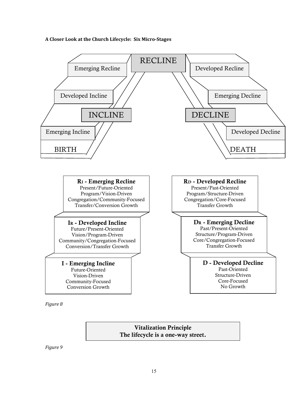#### **A Closer Look at the Church Lifecycle: Six Micro-Stages**



**Vitalization Principle The lifecycle is a one-way street.** 

*Figure 9*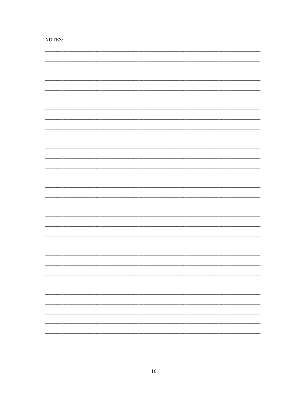| NOTES: |  |  |
|--------|--|--|
|        |  |  |
|        |  |  |
|        |  |  |
|        |  |  |
|        |  |  |
|        |  |  |
|        |  |  |
|        |  |  |
|        |  |  |
|        |  |  |
|        |  |  |
|        |  |  |
|        |  |  |
|        |  |  |
|        |  |  |
|        |  |  |
|        |  |  |
|        |  |  |
|        |  |  |
|        |  |  |
|        |  |  |
|        |  |  |
|        |  |  |
|        |  |  |
|        |  |  |
|        |  |  |
|        |  |  |
|        |  |  |
|        |  |  |
|        |  |  |
|        |  |  |
|        |  |  |
|        |  |  |
|        |  |  |
|        |  |  |
|        |  |  |
|        |  |  |
|        |  |  |
|        |  |  |
|        |  |  |
|        |  |  |
|        |  |  |
|        |  |  |
|        |  |  |
|        |  |  |
|        |  |  |
|        |  |  |
|        |  |  |
|        |  |  |
|        |  |  |
|        |  |  |
|        |  |  |
|        |  |  |
|        |  |  |
|        |  |  |
|        |  |  |
|        |  |  |
|        |  |  |
|        |  |  |
|        |  |  |
|        |  |  |
|        |  |  |
|        |  |  |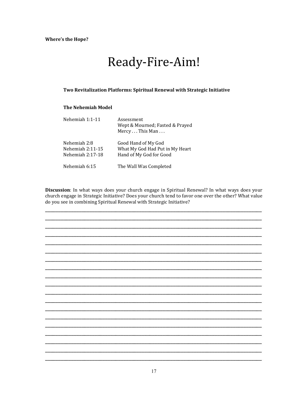## Ready-Fire-Aim!

#### Two Revitalization Platforms: Spiritual Renewal with Strategic Initiative

#### **The Nehemiah Model**

| Nehemiah 1:1-11                                      | Assessment<br>Wept & Mourned; Fasted & Prayed<br>Mercy This Man                   |
|------------------------------------------------------|-----------------------------------------------------------------------------------|
| Nehemiah 2:8<br>Nehemiah 2:11-15<br>Nehemiah 2:17-18 | Good Hand of My God<br>What My God Had Put in My Heart<br>Hand of My God for Good |
| Nehemiah 6:15                                        | The Wall Was Completed                                                            |

Discussion: In what ways does your church engage in Spiritual Renewal? In what ways does your church engage in Strategic Initiative? Does your church tend to favor one over the other? What value do you see in combining Spiritual Renewal with Strategic Initiative?

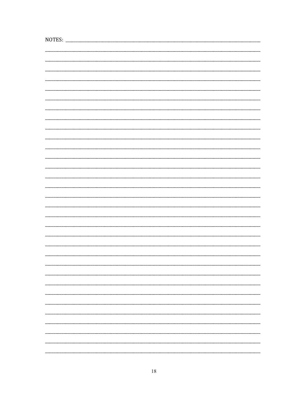| NOTES: |  |  |
|--------|--|--|
|        |  |  |
|        |  |  |
|        |  |  |
|        |  |  |
|        |  |  |
|        |  |  |
|        |  |  |
|        |  |  |
|        |  |  |
|        |  |  |
|        |  |  |
|        |  |  |
|        |  |  |
|        |  |  |
|        |  |  |
|        |  |  |
|        |  |  |
|        |  |  |
|        |  |  |
|        |  |  |
|        |  |  |
|        |  |  |
|        |  |  |
|        |  |  |
|        |  |  |
|        |  |  |
|        |  |  |
|        |  |  |
|        |  |  |
|        |  |  |
|        |  |  |
|        |  |  |
|        |  |  |
|        |  |  |
|        |  |  |
|        |  |  |
|        |  |  |
|        |  |  |
|        |  |  |
|        |  |  |
|        |  |  |
|        |  |  |
|        |  |  |
|        |  |  |
|        |  |  |
|        |  |  |
|        |  |  |
|        |  |  |
|        |  |  |
|        |  |  |
|        |  |  |
|        |  |  |
|        |  |  |
|        |  |  |
|        |  |  |
|        |  |  |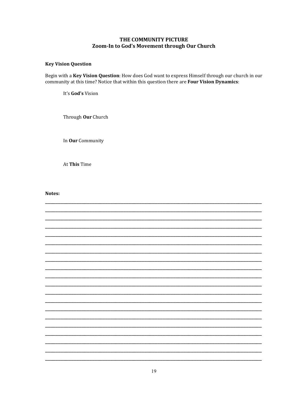#### THE COMMUNITY PICTURE Zoom-In to God's Movement through Our Church

#### **Key Vision Question**

Begin with a Key Vision Question: How does God want to express Himself through our church in our community at this time? Notice that within this question there are Four Vision Dynamics:

It's God's Vision

Through Our Church

In Our Community

At This Time

Notes:

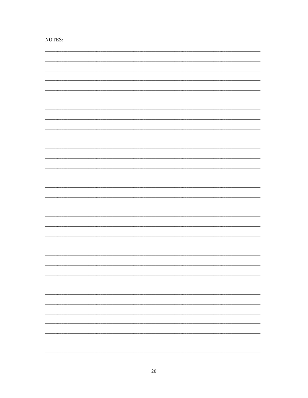| NOTES: |  |
|--------|--|
|        |  |
|        |  |
|        |  |
|        |  |
|        |  |
|        |  |
|        |  |
|        |  |
|        |  |
|        |  |
|        |  |
|        |  |
|        |  |
|        |  |
|        |  |
|        |  |
|        |  |
|        |  |
|        |  |
|        |  |
|        |  |
|        |  |
|        |  |
|        |  |
|        |  |
|        |  |
|        |  |
|        |  |
|        |  |
|        |  |
|        |  |
|        |  |
|        |  |
|        |  |
|        |  |
|        |  |
|        |  |
|        |  |
|        |  |
|        |  |
|        |  |
|        |  |
|        |  |
|        |  |
|        |  |
|        |  |
|        |  |
|        |  |
|        |  |
|        |  |
|        |  |
|        |  |
|        |  |
|        |  |
|        |  |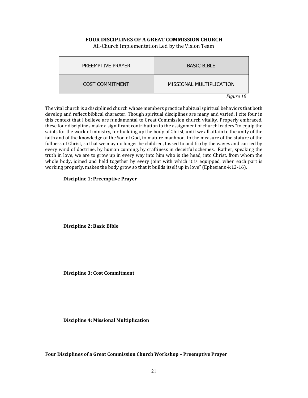#### **FOUR DISCIPLINES OF A GREAT COMMISSION CHURCH**

All-Church Implementation Led by the Vision Team

| PREEMPTIVE PRAYER      | <b>BASIC BIBLE</b>       |
|------------------------|--------------------------|
| <b>COST COMMITMENT</b> | MISSIONAL MULTIPLICATION |
|                        | Figure 10                |

The vital church is a disciplined church whose members practice habitual spiritual behaviors that both develop and reflect biblical character. Though spiritual disciplines are many and varied, I cite four in this context that I believe are fundamental to Great Commission church vitality. Properly embraced, these four disciplines make a significant contribution to the assignment of church leaders "to equip the saints for the work of ministry, for building up the body of Christ, until we all attain to the unity of the faith and of the knowledge of the Son of God, to mature manhood, to the measure of the stature of the fullness of Christ, so that we may no longer be children, tossed to and fro by the waves and carried by every wind of doctrine, by human cunning, by craftiness in deceitful schemes. Rather, speaking the truth in love, we are to grow up in every way into him who is the head, into Christ, from whom the whole body, joined and held together by every joint with which it is equipped, when each part is working properly, makes the body grow so that it builds itself up in love" (Ephesians 4:12-16).

#### **Discipline 1: Preemptive Prayer**

 **Discipline 2: Basic Bible** 

 **Discipline 3: Cost Commitment** 

**Discipline 4: Missional Multiplication** 

**Four Disciplines of a Great Commission Church Workshop – Preemptive Prayer**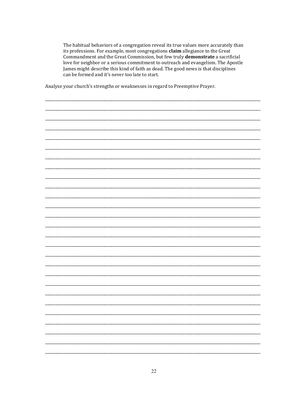The habitual behaviors of a congregation reveal its true values more accurately than its professions. For example, most congregations claim allegiance to the Great Commandment and the Great Commission, but few truly demonstrate a sacrificial love for neighbor or a serious commitment to outreach and evangelism. The Apostle James might describe this kind of faith as dead. The good news is that disciplines can be formed and it's never too late to start.

Analyze your church's strengths or weaknesses in regard to Preemptive Prayer.

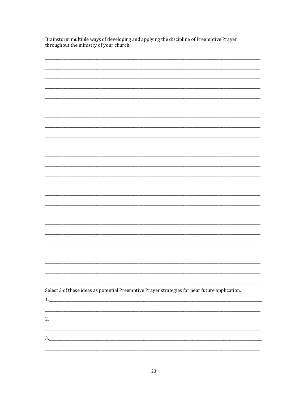Brainstorm multiple ways of developing and applying the discipline of Preemptive Prayer throughout the ministry of your church.

| Select 3 of these ideas as potential Preemptive Prayer strategies for near future application. |  |
|------------------------------------------------------------------------------------------------|--|
|                                                                                                |  |
|                                                                                                |  |
|                                                                                                |  |
|                                                                                                |  |
|                                                                                                |  |
|                                                                                                |  |
|                                                                                                |  |
|                                                                                                |  |
|                                                                                                |  |
|                                                                                                |  |
|                                                                                                |  |
|                                                                                                |  |
|                                                                                                |  |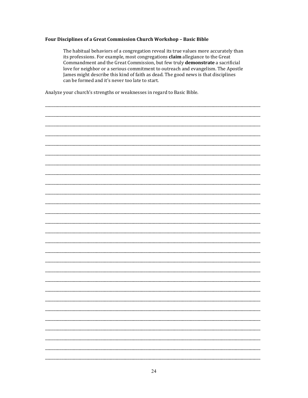#### Four Disciplines of a Great Commission Church Workshop - Basic Bible

The habitual behaviors of a congregation reveal its true values more accurately than its professions. For example, most congregations claim allegiance to the Great Commandment and the Great Commission, but few truly demonstrate a sacrificial love for neighbor or a serious commitment to outreach and evangelism. The Apostle James might describe this kind of faith as dead. The good news is that disciplines can be formed and it's never too late to start.

Analyze your church's strengths or weaknesses in regard to Basic Bible.

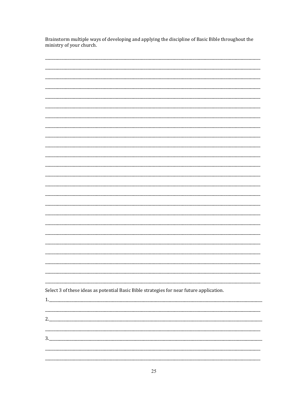Brainstorm multiple ways of developing and applying the discipline of Basic Bible throughout the ministry of your church.

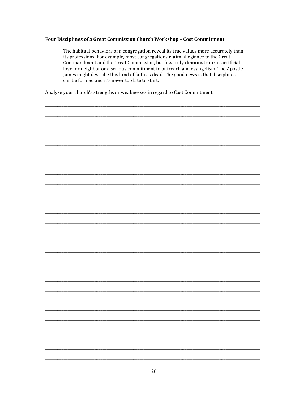#### Four Disciplines of a Great Commission Church Workshop - Cost Commitment

The habitual behaviors of a congregation reveal its true values more accurately than its professions. For example, most congregations claim allegiance to the Great Commandment and the Great Commission, but few truly demonstrate a sacrificial love for neighbor or a serious commitment to outreach and evangelism. The Apostle James might describe this kind of faith as dead. The good news is that disciplines can be formed and it's never too late to start.

Analyze your church's strengths or weaknesses in regard to Cost Commitment.

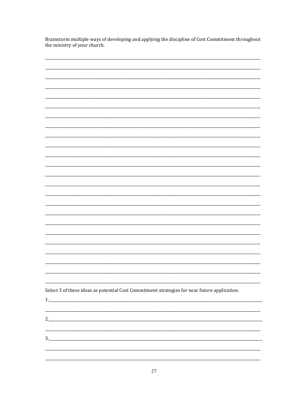Brainstorm multiple ways of developing and applying the discipline of Cost Commitment throughout the ministry of your church.

| Select 3 of these ideas as potential Cost Commitment strategies for near future application. |
|----------------------------------------------------------------------------------------------|
|                                                                                              |
|                                                                                              |
|                                                                                              |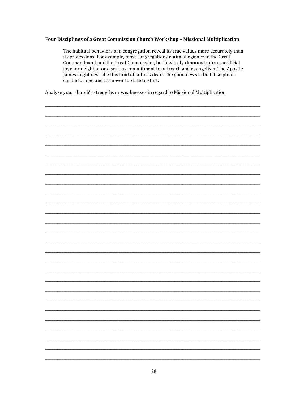#### Four Disciplines of a Great Commission Church Workshop - Missional Multiplication

The habitual behaviors of a congregation reveal its true values more accurately than its professions. For example, most congregations claim allegiance to the Great Commandment and the Great Commission, but few truly demonstrate a sacrificial love for neighbor or a serious commitment to outreach and evangelism. The Apostle James might describe this kind of faith as dead. The good news is that disciplines can be formed and it's never too late to start.

Analyze your church's strengths or weaknesses in regard to Missional Multiplication.

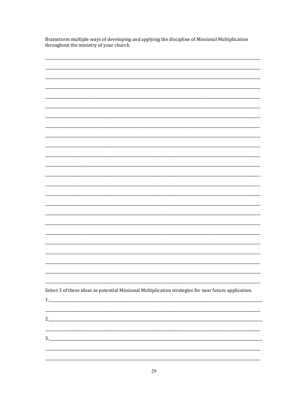Brainstorm multiple ways of developing and applying the discipline of Missional Multiplication throughout the ministry of your church.

| Select 3 of these ideas as potential Missional Multiplication strategies for near future application. |
|-------------------------------------------------------------------------------------------------------|
|                                                                                                       |
|                                                                                                       |
|                                                                                                       |
|                                                                                                       |
|                                                                                                       |
|                                                                                                       |
|                                                                                                       |
| ,我们也不会有什么。""我们的人,我们也不会有什么?""我们的人,我们也不会有什么?""我们的人,我们也不会有什么?""我们的人,我们也不会有什么?""我们的人                      |
|                                                                                                       |
|                                                                                                       |
|                                                                                                       |
|                                                                                                       |
|                                                                                                       |
|                                                                                                       |
|                                                                                                       |
|                                                                                                       |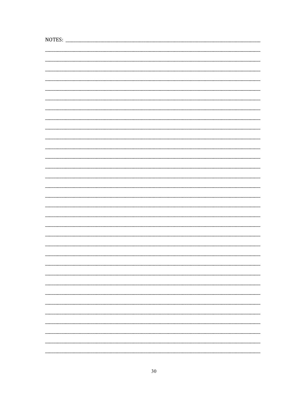| NOTES: |  |
|--------|--|
|        |  |
|        |  |
|        |  |
|        |  |
|        |  |
|        |  |
|        |  |
|        |  |
|        |  |
|        |  |
|        |  |
|        |  |
|        |  |
|        |  |
|        |  |
|        |  |
|        |  |
|        |  |
|        |  |
|        |  |
|        |  |
|        |  |
|        |  |
|        |  |
|        |  |
|        |  |
|        |  |
|        |  |
|        |  |
|        |  |
|        |  |
|        |  |
|        |  |
|        |  |
|        |  |
|        |  |
|        |  |
|        |  |
|        |  |
|        |  |
|        |  |
|        |  |
|        |  |
|        |  |
|        |  |
|        |  |
|        |  |
|        |  |
|        |  |
|        |  |
|        |  |
|        |  |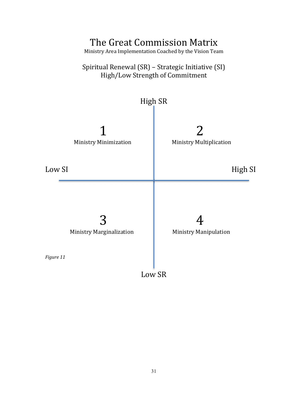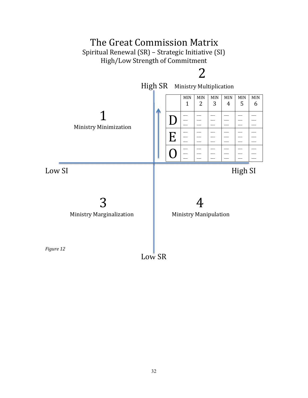

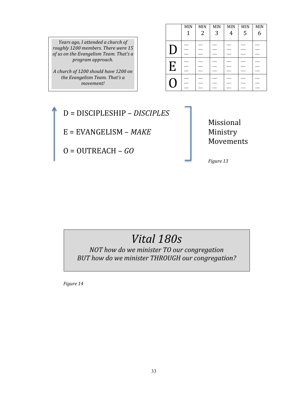*Years ago, I attended a church of roughly 1200 members. There were 15 of us on the Evangelism Team. That's a program approach.* 

*A church of 1200 should have 1200 on the Evangelism Team. That's a movement!* 

|                           | MIN | MIN | MIN | MIN | $\texttt{MIN}$ | MIN |
|---------------------------|-----|-----|-----|-----|----------------|-----|
|                           | 1   | 2   | 3   | 4   | 5              | 6   |
|                           |     |     |     |     |                |     |
|                           |     |     |     |     |                |     |
|                           |     |     |     |     |                |     |
|                           |     |     |     |     |                |     |
| $\boldsymbol{\mathrm{E}}$ |     |     |     |     |                |     |
|                           |     |     |     |     |                |     |
|                           |     |     |     |     |                |     |
|                           |     |     |     |     |                |     |
|                           |     |     |     |     |                |     |



 Missional Movements

## *Vital 180s*

*NOT how do we minister TO our congregation BUT how do we minister THROUGH our congregation?* 

 *Figure 14*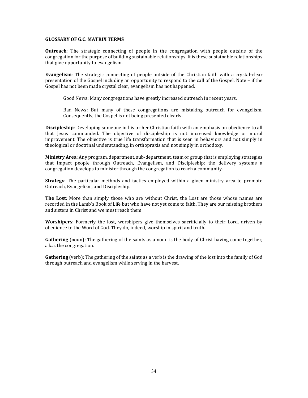#### **GLOSSARY OF G.C. MATRIX TERMS**

**Outreach**: The strategic connecting of people in the congregation with people outside of the congregation for the purpose of building sustainable relationships. It is these sustainable relationships that give opportunity to evangelism.

**Evangelism**: The strategic connecting of people outside of the Christian faith with a crystal-clear presentation of the Gospel including an opportunity to respond to the call of the Gospel. Note – if the Gospel has not been made crystal clear, evangelism has not happened.

Good News: Many congregations have greatly increased outreach in recent years.

 Bad News: But many of these congregations are mistaking outreach for evangelism. Consequently, the Gospel is not being presented clearly.

**Discipleship**: Developing someone in his or her Christian faith with an emphasis on obedience to all that Jesus commanded. The objective of discipleship is not increased knowledge or moral improvement. The objective is true life transformation that is seen in behaviors and not simply in theological or doctrinal understanding, in orthopraxis and not simply in orthodoxy.

**Ministry Area**: Any program, department, sub-department, team or group that is employing strategies that impact people through Outreach, Evangelism, and Discipleship; the delivery systems a congregation develops to minister through the congregation to reach a community.

**Strategy**: The particular methods and tactics employed within a given ministry area to promote Outreach, Evangelism, and Discipleship.

**The Lost**: More than simply those who are without Christ, the Lost are those whose names are recorded in the Lamb's Book of Life but who have not yet come to faith. They are our missing brothers and sisters in Christ and we must reach them.

**Worshipers**: Formerly the lost, worshipers give themselves sacrificially to their Lord, driven by obedience to the Word of God. They do, indeed, worship in spirit and truth.

**Gathering** (noun): The gathering of the saints as a noun is the body of Christ having come together, a.k.a. the congregation.

**Gathering** (verb): The gathering of the saints as a verb is the drawing of the lost into the family of God through outreach and evangelism while serving in the harvest.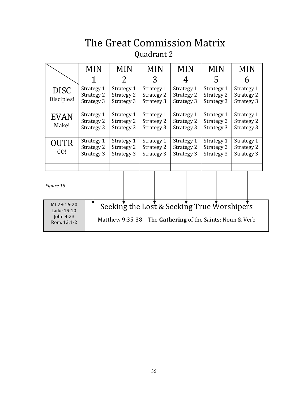## The Great Commission Matrix Quadrant 2

|                           |                                        | <b>MIN</b>                             |                                        | <b>MIN</b> |                                        | <b>MIN</b>                             | <b>MIN</b>                             |  |                                        | <b>MIN</b> | <b>MIN</b>                             |  |
|---------------------------|----------------------------------------|----------------------------------------|----------------------------------------|------------|----------------------------------------|----------------------------------------|----------------------------------------|--|----------------------------------------|------------|----------------------------------------|--|
|                           |                                        |                                        |                                        | 2          |                                        | 3                                      | 4                                      |  |                                        | 5          |                                        |  |
| <b>DISC</b><br>Disciples! |                                        | Strategy 1<br>Strategy 2<br>Strategy 3 | Strategy 1<br>Strategy 2<br>Strategy 3 |            |                                        | Strategy 1<br>Strategy 2<br>Strategy 3 | Strategy 1<br>Strategy 2<br>Strategy 3 |  | Strategy 1<br>Strategy 2<br>Strategy 3 |            | Strategy 1<br>Strategy 2<br>Strategy 3 |  |
| <b>EVAN</b><br>Make!      | Strategy 1<br>Strategy 2<br>Strategy 3 |                                        | Strategy 1<br>Strategy 2<br>Strategy 3 |            | Strategy 1<br>Strategy 2<br>Strategy 3 |                                        | Strategy 1<br>Strategy 2<br>Strategy 3 |  | Strategy 1<br>Strategy 2<br>Strategy 3 |            | Strategy 1<br>Strategy 2<br>Strategy 3 |  |
| <b>OUTR</b><br>GO!        | Strategy 1<br>Strategy 2<br>Strategy 3 |                                        | Strategy 1<br>Strategy 2<br>Strategy 3 |            | Strategy 1<br>Strategy 2<br>Strategy 3 |                                        | Strategy 1<br>Strategy 2<br>Strategy 3 |  | Strategy 1<br>Strategy 2<br>Strategy 3 |            | Strategy 1<br>Strategy 2<br>Strategy 3 |  |
| Figure 15                 |                                        |                                        |                                        |            |                                        |                                        |                                        |  |                                        |            |                                        |  |

Seeking the Lost & Seeking True Worshipers  $\blacktriangledown$ Mt 28:16-20 Luke 19:10 John 4:23 Matthew 9:35-38 – The **Gathering** of the Saints: Noun & Verb Rom. 12:1-2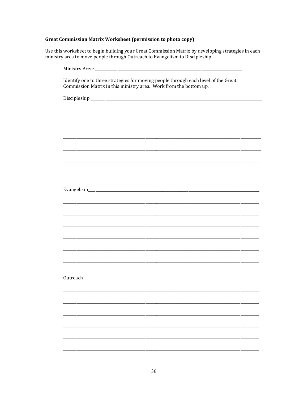| Identify one to three strategies for moving people through each level of the Great<br>Commission Matrix in this ministry area. Work from the bottom up. |
|---------------------------------------------------------------------------------------------------------------------------------------------------------|
|                                                                                                                                                         |
|                                                                                                                                                         |
|                                                                                                                                                         |
|                                                                                                                                                         |
|                                                                                                                                                         |
|                                                                                                                                                         |
|                                                                                                                                                         |
|                                                                                                                                                         |
|                                                                                                                                                         |
|                                                                                                                                                         |
|                                                                                                                                                         |
|                                                                                                                                                         |
|                                                                                                                                                         |
|                                                                                                                                                         |
|                                                                                                                                                         |
|                                                                                                                                                         |
|                                                                                                                                                         |
|                                                                                                                                                         |
|                                                                                                                                                         |
|                                                                                                                                                         |
|                                                                                                                                                         |
|                                                                                                                                                         |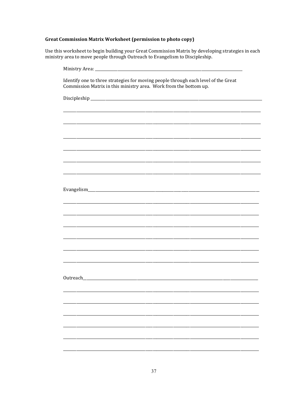| Identify one to three strategies for moving people through each level of the Great<br>Commission Matrix in this ministry area. Work from the bottom up. |
|---------------------------------------------------------------------------------------------------------------------------------------------------------|
|                                                                                                                                                         |
|                                                                                                                                                         |
|                                                                                                                                                         |
|                                                                                                                                                         |
|                                                                                                                                                         |
|                                                                                                                                                         |
|                                                                                                                                                         |
|                                                                                                                                                         |
|                                                                                                                                                         |
|                                                                                                                                                         |
|                                                                                                                                                         |
|                                                                                                                                                         |
|                                                                                                                                                         |
|                                                                                                                                                         |
|                                                                                                                                                         |
|                                                                                                                                                         |
|                                                                                                                                                         |
|                                                                                                                                                         |
|                                                                                                                                                         |
|                                                                                                                                                         |
|                                                                                                                                                         |
|                                                                                                                                                         |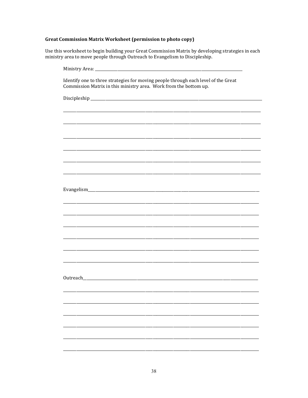| Identify one to three strategies for moving people through each level of the Great<br>Commission Matrix in this ministry area. Work from the bottom up. |
|---------------------------------------------------------------------------------------------------------------------------------------------------------|
|                                                                                                                                                         |
|                                                                                                                                                         |
|                                                                                                                                                         |
|                                                                                                                                                         |
|                                                                                                                                                         |
|                                                                                                                                                         |
|                                                                                                                                                         |
|                                                                                                                                                         |
|                                                                                                                                                         |
|                                                                                                                                                         |
|                                                                                                                                                         |
|                                                                                                                                                         |
|                                                                                                                                                         |
|                                                                                                                                                         |
|                                                                                                                                                         |
|                                                                                                                                                         |
|                                                                                                                                                         |
|                                                                                                                                                         |
|                                                                                                                                                         |
|                                                                                                                                                         |
|                                                                                                                                                         |
|                                                                                                                                                         |
|                                                                                                                                                         |
|                                                                                                                                                         |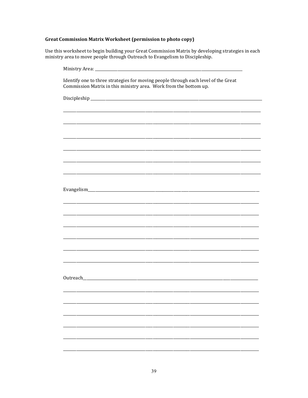| Identify one to three strategies for moving people through each level of the Great<br>Commission Matrix in this ministry area. Work from the bottom up. |
|---------------------------------------------------------------------------------------------------------------------------------------------------------|
|                                                                                                                                                         |
|                                                                                                                                                         |
|                                                                                                                                                         |
|                                                                                                                                                         |
|                                                                                                                                                         |
|                                                                                                                                                         |
|                                                                                                                                                         |
|                                                                                                                                                         |
|                                                                                                                                                         |
|                                                                                                                                                         |
|                                                                                                                                                         |
|                                                                                                                                                         |
|                                                                                                                                                         |
|                                                                                                                                                         |
|                                                                                                                                                         |
|                                                                                                                                                         |
|                                                                                                                                                         |
|                                                                                                                                                         |
|                                                                                                                                                         |
|                                                                                                                                                         |
|                                                                                                                                                         |
|                                                                                                                                                         |
|                                                                                                                                                         |
|                                                                                                                                                         |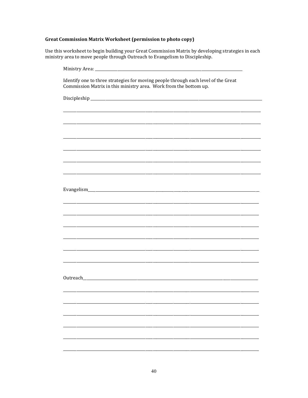| Identify one to three strategies for moving people through each level of the Great<br>Commission Matrix in this ministry area. Work from the bottom up. |
|---------------------------------------------------------------------------------------------------------------------------------------------------------|
|                                                                                                                                                         |
|                                                                                                                                                         |
|                                                                                                                                                         |
|                                                                                                                                                         |
|                                                                                                                                                         |
|                                                                                                                                                         |
|                                                                                                                                                         |
|                                                                                                                                                         |
|                                                                                                                                                         |
|                                                                                                                                                         |
|                                                                                                                                                         |
|                                                                                                                                                         |
|                                                                                                                                                         |
|                                                                                                                                                         |
|                                                                                                                                                         |
|                                                                                                                                                         |
|                                                                                                                                                         |
|                                                                                                                                                         |
|                                                                                                                                                         |
|                                                                                                                                                         |
|                                                                                                                                                         |
|                                                                                                                                                         |
|                                                                                                                                                         |
|                                                                                                                                                         |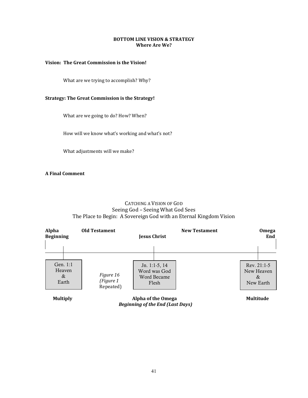#### **BOTTOM LINE VISION & STRATEGY Where Are We?**

#### **Vision: The Great Commission is the Vision!**

What are we trying to accomplish? Why?

#### **Strategy: The Great Commission is the Strategy!**

What are we going to do? How? When?

How will we know what's working and what's not?

What adjustments will we make?

**A Final Comment** 

#### CATCHING A VISION OF GOD Seeing God – Seeing What God Sees The Place to Begin: A Sovereign God with an Eternal Kingdom Vision

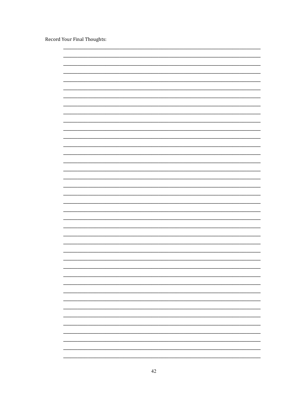Record Your Final Thoughts:

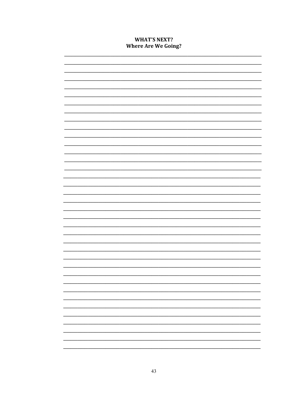#### **WHAT'S NEXT? Where Are We Going?**